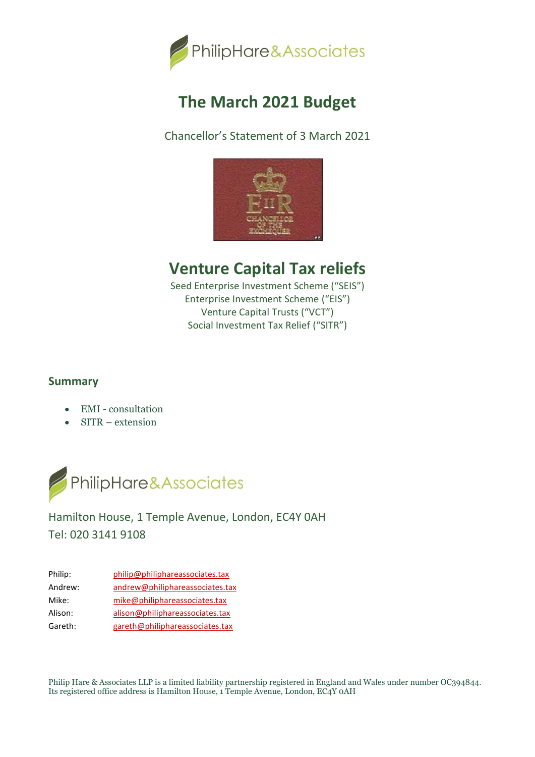

# **The March 2021 Budget**

Chancellor's Statement of 3 March 2021



## **Venture Capital Tax reliefs**

Seed Enterprise Investment Scheme ("SEIS") Enterprise Investment Scheme ("EIS") Venture Capital Trusts ("VCT") Social Investment Tax Relief ("SITR")

### **Summary**

- EMI consultation
- SITR extension



## Hamilton House, 1 Temple Avenue, London, EC4Y 0AH Tel: 020 3141 9108

| Philip: | philip@philiphareassociates.tax |
|---------|---------------------------------|
| Andrew: | andrew@philiphareassociates.tax |
| Mike:   | mike@philiphareassociates.tax   |
| Alison: | alison@philiphareassociates.tax |
| Gareth: | gareth@philiphareassociates.tax |

Philip Hare & Associates LLP is a limited liability partnership registered in England and Wales under number OC394844. Its registered office address is Hamilton House, 1 Temple Avenue, London, EC4Y 0AH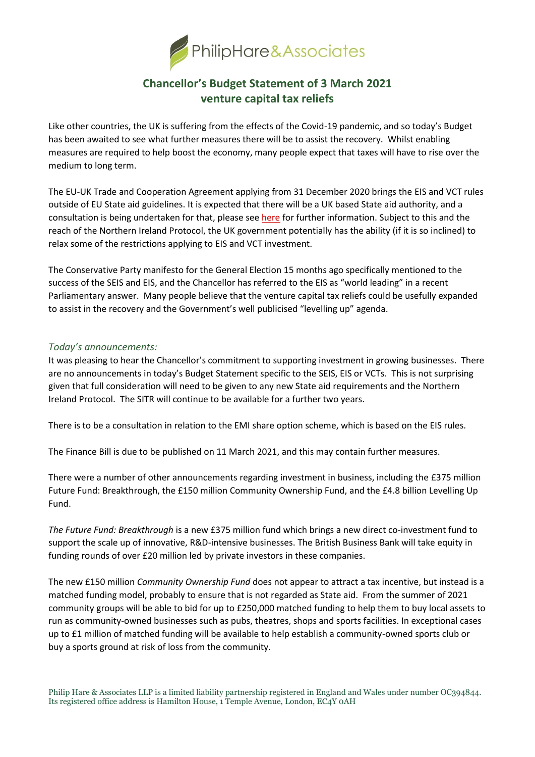

## **Chancellor's Budget Statement of 3 March 2021 venture capital tax reliefs**

Like other countries, the UK is suffering from the effects of the Covid-19 pandemic, and so today's Budget has been awaited to see what further measures there will be to assist the recovery. Whilst enabling measures are required to help boost the economy, many people expect that taxes will have to rise over the medium to long term.

The EU-UK Trade and Cooperation Agreement applying from 31 December 2020 brings the EIS and VCT rules outside of EU State aid guidelines. It is expected that there will be a UK based State aid authority, and a consultation is being undertaken for that, please see [here](https://philiphareassociates.tax/news/business-secretary-launches-consultation-for-new-uk-subsidies-system/) for further information. Subject to this and the reach of the Northern Ireland Protocol, the UK government potentially has the ability (if it is so inclined) to relax some of the restrictions applying to EIS and VCT investment.

The Conservative Party manifesto for the General Election 15 months ago specifically mentioned to the success of the SEIS and EIS, and the Chancellor has referred to the EIS as "world leading" in a recent Parliamentary answer. Many people believe that the venture capital tax reliefs could be usefully expanded to assist in the recovery and the Government's well publicised "levelling up" agenda.

#### *Today's announcements:*

It was pleasing to hear the Chancellor's commitment to supporting investment in growing businesses. There are no announcements in today's Budget Statement specific to the SEIS, EIS or VCTs. This is not surprising given that full consideration will need to be given to any new State aid requirements and the Northern Ireland Protocol. The SITR will continue to be available for a further two years.

There is to be a consultation in relation to the EMI share option scheme, which is based on the EIS rules.

The Finance Bill is due to be published on 11 March 2021, and this may contain further measures.

There were a number of other announcements regarding investment in business, including the £375 million Future Fund: Breakthrough, the £150 million Community Ownership Fund, and the £4.8 billion Levelling Up Fund.

*The Future Fund: Breakthrough* is a new £375 million fund which brings a new direct co-investment fund to support the scale up of innovative, R&D-intensive businesses. The British Business Bank will take equity in funding rounds of over £20 million led by private investors in these companies.

The new £150 million *Community Ownership Fund* does not appear to attract a tax incentive, but instead is a matched funding model, probably to ensure that is not regarded as State aid. From the summer of 2021 community groups will be able to bid for up to £250,000 matched funding to help them to buy local assets to run as community-owned businesses such as pubs, theatres, shops and sports facilities. In exceptional cases up to £1 million of matched funding will be available to help establish a community-owned sports club or buy a sports ground at risk of loss from the community.